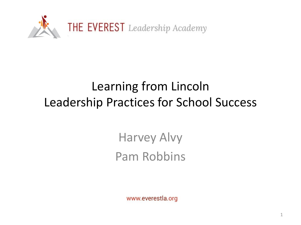

# Learning from Lincoln Leadership Practices for School Success

Harvey Alvy Pam Robbins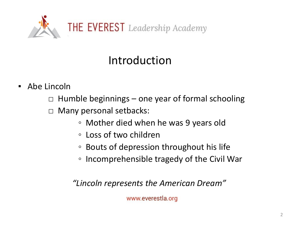

## Introduction

- Abe Lincoln
	- $\Box$  Humble beginnings one year of formal schooling
	- □ Many personal setbacks:
		- Mother died when he was 9 years old
		- Loss of two children
		- Bouts of depression throughout his life
		- Incomprehensible tragedy of the Civil War

*"Lincoln represents the American Dream"*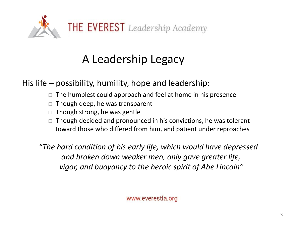

## A Leadership Legacy

His life – possibility, humility, hope and leadership:

- $\Box$  The humblest could approach and feel at home in his presence
- $\Box$  Though deep, he was transparent
- $\Box$  Though strong, he was gentle
- $\Box$  Though decided and pronounced in his convictions, he was tolerant toward those who differed from him, and patient under reproaches

*"The hard condition of his early life, which would have depressed and broken down weaker men, only gave greater life, vigor, and buoyancy to the heroic spirit of Abe Lincoln"*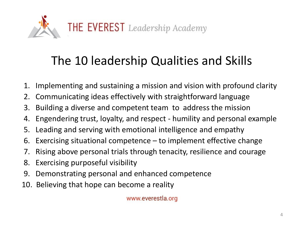

# The 10 leadership Qualities and Skills

- 1. Implementing and sustaining a mission and vision with profound clarity
- 2. Communicating ideas effectively with straightforward language
- 3. Building a diverse and competent team to address the mission
- 4. Engendering trust, loyalty, and respect humility and personal example
- 5. Leading and serving with emotional intelligence and empathy
- 6. Exercising situational competence  $-$  to implement effective change
- 7. Rising above personal trials through tenacity, resilience and courage
- 8. Exercising purposeful visibility
- 9. Demonstrating personal and enhanced competence
- 10. Believing that hope can become a reality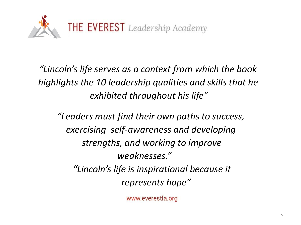

*"Lincoln's life serves as a context from which the book highlights the 10 leadership qualities and skills that he exhibited throughout his life"*

*"Leaders must find their own paths to success, exercising self-awareness and developing strengths, and working to improve weaknesses." "Lincoln's life is inspirational because it represents hope"*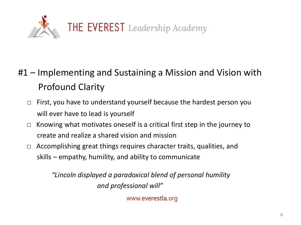

- #1 Implementing and Sustaining a Mission and Vision with Profound Clarity
	- $\Box$  First, you have to understand yourself because the hardest person you will ever have to lead is yourself
	- $\Box$  Knowing what motivates oneself is a critical first step in the journey to create and realize a shared vision and mission
	- □ Accomplishing great things requires character traits, qualities, and skills – empathy, humility, and ability to communicate

*"Lincoln displayed a paradoxical blend of personal humility and professional will"*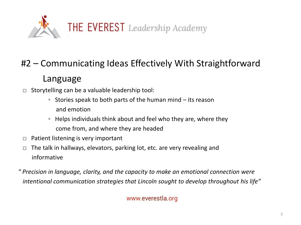

### #2 – Communicating Ideas Effectively With Straightforward

#### Language

- $\Box$  Storytelling can be a valuable leadership tool:
	- Stories speak to both parts of the human mind its reason and emotion
	- Helps individuals think about and feel who they are, where they come from, and where they are headed
- $\Box$  Patient listening is very important
- $\Box$  The talk in hallways, elevators, parking lot, etc. are very revealing and informative

*" Precision in language, clarity, and the capacity to make an emotional connection were intentional communication strategies that Lincoln sought to develop throughout his life"*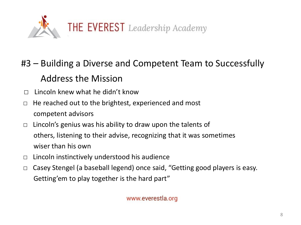

## #3 – Building a Diverse and Competent Team to Successfully Address the Mission

- $\Box$  Lincoln knew what he didn't know
- $\Box$  He reached out to the brightest, experienced and most competent advisors
- $\Box$  Lincoln's genius was his ability to draw upon the talents of others, listening to their advise, recognizing that it was sometimes wiser than his own
- $\Box$  Lincoln instinctively understood his audience
- □ Casey Stengel (a baseball legend) once said, "Getting good players is easy. Getting'em to play together is the hard part"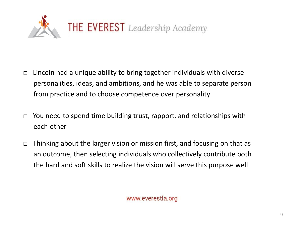

- $\Box$  Lincoln had a unique ability to bring together individuals with diverse personalities, ideas, and ambitions, and he was able to separate person from practice and to choose competence over personality
- $\Box$  You need to spend time building trust, rapport, and relationships with each other
- $\Box$  Thinking about the larger vision or mission first, and focusing on that as an outcome, then selecting individuals who collectively contribute both the hard and soft skills to realize the vision will serve this purpose well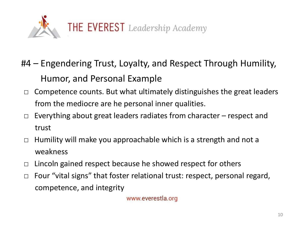

- #4 Engendering Trust, Loyalty, and Respect Through Humility, Humor, and Personal Example
	- $\Box$  Competence counts. But what ultimately distinguishes the great leaders from the mediocre are he personal inner qualities.
	- $\Box$  Everything about great leaders radiates from character respect and trust
	- $\Box$  Humility will make you approachable which is a strength and not a weakness
	- $\Box$  Lincoln gained respect because he showed respect for others
	- □ Four "vital signs" that foster relational trust: respect, personal regard, competence, and integrity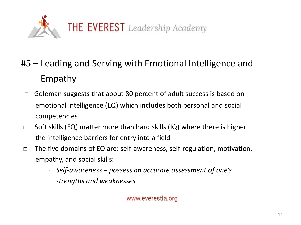

- #5 Leading and Serving with Emotional Intelligence and Empathy
	- $\Box$  Goleman suggests that about 80 percent of adult success is based on emotional intelligence (EQ) which includes both personal and social competencies
- $\Box$  Soft skills (EQ) matter more than hard skills (IQ) where there is higher the intelligence barriers for entry into a field
- □ The five domains of EQ are: self-awareness, self-regulation, motivation, empathy, and social skills:
	- *Self-awareness – possess an accurate assessment of one's strengths and weaknesses*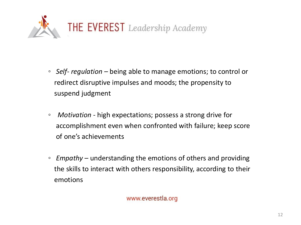

- *Self- regulation –* being able to manage emotions; to control or redirect disruptive impulses and moods; the propensity to suspend judgment
- *◦ Motivation -* high expectations; possess a strong drive for accomplishment even when confronted with failure; keep score of one's achievements
- *◦ Empathy –* understanding the emotions of others and providing the skills to interact with others responsibility, according to their emotions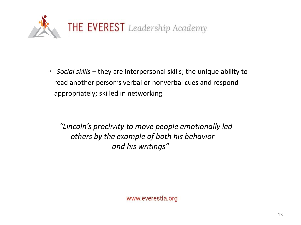

◦ *Social skills –* they are interpersonal skills; the unique ability to read another person's verbal or nonverbal cues and respond appropriately; skilled in networking

*"Lincoln's proclivity to move people emotionally led others by the example of both his behavior and his writings"*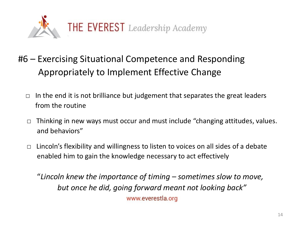

- #6 Exercising Situational Competence and Responding Appropriately to Implement Effective Change
	- *□* In the end it is not brilliance but judgement that separates the great leaders from the routine
	- *□* Thinking in new ways must occur and must include "changing attitudes, values. and behaviors"
	- $\Box$  Lincoln's flexibility and willingness to listen to voices on all sides of a debate enabled him to gain the knowledge necessary to act effectively

"*Lincoln knew the importance of timing – sometimes slow to move, but once he did, going forward meant not looking back"*www.everestla.org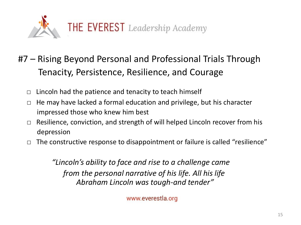

- #7 Rising Beyond Personal and Professional Trials Through Tenacity, Persistence, Resilience, and Courage
	- $\Box$  Lincoln had the patience and tenacity to teach himself
	- □ He may have lacked a formal education and privilege, but his character impressed those who knew him best
	- $\Box$  Resilience, conviction, and strength of will helped Lincoln recover from his depression
	- □ The constructive response to disappointment or failure is called "resilience"

*"Lincoln's ability to face and rise to a challenge came from the personal narrative of his life. All his life Abraham Lincoln was tough-and tender"*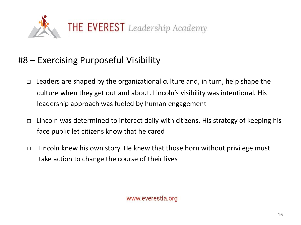

### #8 – Exercising Purposeful Visibility

- $\Box$  Leaders are shaped by the organizational culture and, in turn, help shape the culture when they get out and about. Lincoln's visibility was intentional. His leadership approach was fueled by human engagement
- $\Box$  Lincoln was determined to interact daily with citizens. His strategy of keeping his face public let citizens know that he cared
- $\Box$  Lincoln knew his own story. He knew that those born without privilege must take action to change the course of their lives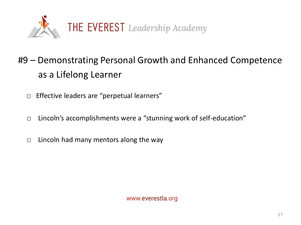

## #9 – Demonstrating Personal Growth and Enhanced Competence as a Lifelong Learner

- □ Effective leaders are "perpetual learners"
- □ Lincoln's accomplishments were a "stunning work of self-education"
- $\Box$  Lincoln had many mentors along the way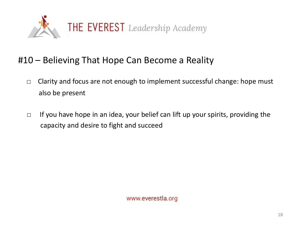

#### #10 – Believing That Hope Can Become a Reality

- □ Clarity and focus are not enough to implement successful change: hope must also be present
- $\Box$  If you have hope in an idea, your belief can lift up your spirits, providing the capacity and desire to fight and succeed